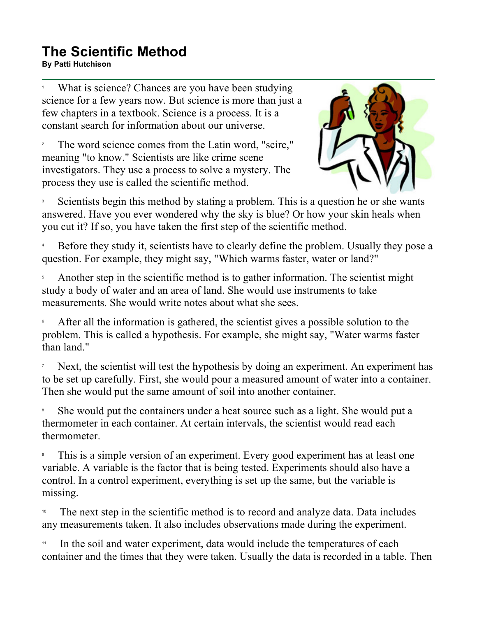## **The Scientific Method**<br>By Patti Hutchison **By Patti Hutchison**<br>By Patti Hutchison

1 What is science? Chances are you have been studying science for a few years now. But science is more than just a few chapters in a textbook. Science is a process. It is a constant search for information about our universe.

2 The word science comes from the Latin word, "scire," meaning "to know." Scientists are like crime scene investigators. They use a process to solve a mystery. The process they use is called the scientific method.



3 Scientists begin this method by stating a problem. This is a question he or she wants answered. Have you ever wondered why the sky is blue? Or how your skin heals when you cut it? If so, you have taken the first step of the scientific method.

4 Before they study it, scientists have to clearly define the problem. Usually they pose a question. For example, they might say, "Which warms faster, water or land?"

5 Another step in the scientific method is to gather information. The scientist might study a body of water and an area of land. She would use instruments to take measurements. She would write notes about what she sees.

6 After all the information is gathered, the scientist gives a possible solution to the problem. This is called a hypothesis. For example, she might say, "Water warms faster than land."

7 Next, the scientist will test the hypothesis by doing an experiment. An experiment has to be set up carefully. First, she would pour a measured amount of water into a container. Then she would put the same amount of soil into another container.

8 She would put the containers under a heat source such as a light. She would put a thermometer in each container. At certain intervals, the scientist would read each thermometer.

9 This is a simple version of an experiment. Every good experiment has at least one variable. A variable is the factor that is being tested. Experiments should also have a control. In a control experiment, everything is set up the same, but the variable is missing.

<sup>10</sup> The next step in the scientific method is to record and analyze data. Data includes any measurements taken. It also includes observations made during the experiment.

<sup>11</sup> In the soil and water experiment, data would include the temperatures of each container and the times that they were taken. Usually the data is recorded in a table. Then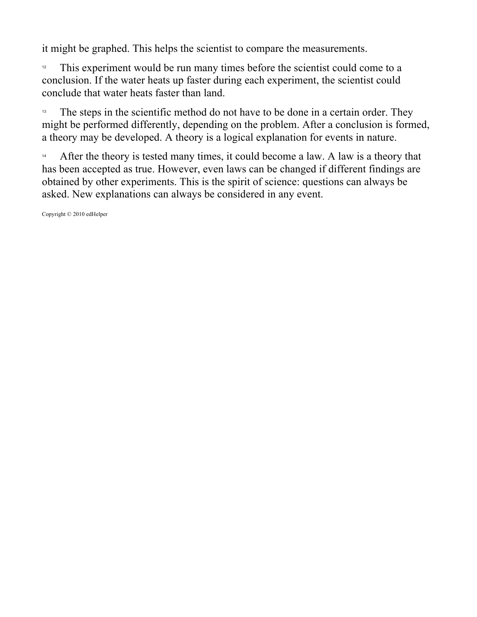it might be graphed. This helps the scientist to compare the measurements.

<sup>12</sup> This experiment would be run many times before the scientist could come to a conclusion. If the water heats up faster during each experiment, the scientist could conclude that water heats faster than land.

The steps in the scientific method do not have to be done in a certain order. They might be performed differently, depending on the problem. After a conclusion is formed, a theory may be developed. A theory is a logical explanation for events in nature.

<sup>14</sup> After the theory is tested many times, it could become a law. A law is a theory that has been accepted as true. However, even laws can be changed if different findings are obtained by other experiments. This is the spirit of science: questions can always be asked. New explanations can always be considered in any event.

Copyright © 2010 edHelper